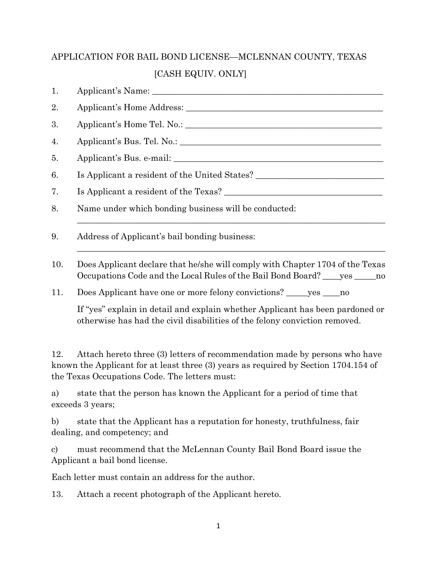## APPLICATION FOR BAIL BOND LICENSE—MCLENNAN COUNTY, TEXAS [CASH EQUIV. ONLY]

| 1.  |                                                                                                                                                                   |
|-----|-------------------------------------------------------------------------------------------------------------------------------------------------------------------|
| 2.  |                                                                                                                                                                   |
| 3.  |                                                                                                                                                                   |
| 4.  |                                                                                                                                                                   |
| 5.  |                                                                                                                                                                   |
| 6.  | Is Applicant a resident of the United States?                                                                                                                     |
| 7.  | Is Applicant a resident of the Texas?                                                                                                                             |
| 8.  | Name under which bonding business will be conducted:                                                                                                              |
| 9.  | Address of Applicant's bail bonding business:                                                                                                                     |
| 10. | Does Applicant declare that he/she will comply with Chapter 1704 of the Texas<br>Occupations Code and the Local Rules of the Bail Bond Board? _____ yes ______ no |
| 11. | Does Applicant have one or more felony convictions? ______ yes _____ no                                                                                           |
|     | If "yes" explain in detail and explain whether Applicant has been pardoned or                                                                                     |

If "yes" explain in detail and explain whether Applicant has been pardoned or otherwise has had the civil disabilities of the felony conviction removed.

12. Attach hereto three (3) letters of recommendation made by persons who have known the Applicant for at least three (3) years as required by Section 1704.154 of the Texas Occupations Code. The letters must:

a) state that the person has known the Applicant for a period of time that exceeds 3 years;

b) state that the Applicant has a reputation for honesty, truthfulness, fair dealing, and competency; and

c) must recommend that the McLennan County Bail Bond Board issue the Applicant a bail bond license.

Each letter must contain an address for the author.

13. Attach a recent photograph of the Applicant hereto.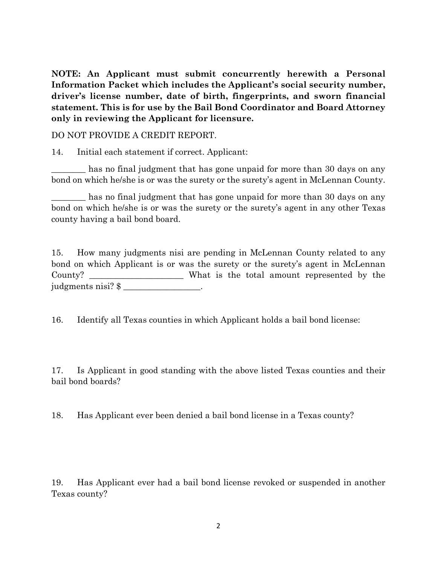**NOTE: An Applicant must submit concurrently herewith a Personal Information Packet which includes the Applicant's social security number, driver's license number, date of birth, fingerprints, and sworn financial statement. This is for use by the Bail Bond Coordinator and Board Attorney only in reviewing the Applicant for licensure.**

DO NOT PROVIDE A CREDIT REPORT.

14. Initial each statement if correct. Applicant:

has no final judgment that has gone unpaid for more than 30 days on any bond on which he/she is or was the surety or the surety's agent in McLennan County.

has no final judgment that has gone unpaid for more than 30 days on any bond on which he/she is or was the surety or the surety's agent in any other Texas county having a bail bond board.

15. How many judgments nisi are pending in McLennan County related to any bond on which Applicant is or was the surety or the surety's agent in McLennan County? \_\_\_\_\_\_\_\_\_\_\_\_\_\_\_\_\_\_\_\_\_\_ What is the total amount represented by the judgments nisi? \$ \_\_\_\_\_\_\_\_\_\_\_\_\_\_\_\_\_\_.

16. Identify all Texas counties in which Applicant holds a bail bond license:

17. Is Applicant in good standing with the above listed Texas counties and their bail bond boards?

18. Has Applicant ever been denied a bail bond license in a Texas county?

19. Has Applicant ever had a bail bond license revoked or suspended in another Texas county?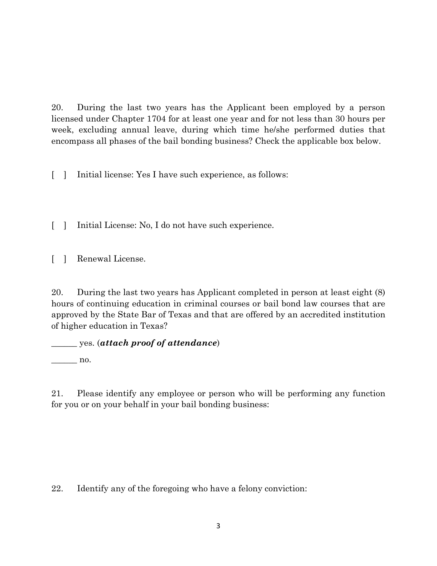20. During the last two years has the Applicant been employed by a person licensed under Chapter 1704 for at least one year and for not less than 30 hours per week, excluding annual leave, during which time he/she performed duties that encompass all phases of the bail bonding business? Check the applicable box below.

[ ] Initial license: Yes I have such experience, as follows:

[ ] Initial License: No, I do not have such experience.

[ ] Renewal License.

20. During the last two years has Applicant completed in person at least eight (8) hours of continuing education in criminal courses or bail bond law courses that are approved by the State Bar of Texas and that are offered by an accredited institution of higher education in Texas?

\_\_\_\_\_\_ yes. (*attach proof of attendance*)

 $\Box$  no.

21. Please identify any employee or person who will be performing any function for you or on your behalf in your bail bonding business:

22. Identify any of the foregoing who have a felony conviction: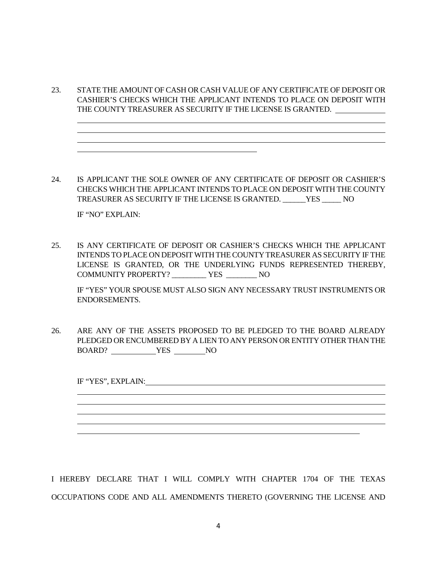23. STATE THE AMOUNT OF CASH OR CASH VALUE OF ANY CERTIFICATE OF DEPOSIT OR CASHIER'S CHECKS WHICH THE APPLICANT INTENDS TO PLACE ON DEPOSIT WITH THE COUNTY TREASURER AS SECURITY IF THE LICENSE IS GRANTED.

24. IS APPLICANT THE SOLE OWNER OF ANY CERTIFICATE OF DEPOSIT OR CASHIER'S CHECKS WHICH THE APPLICANT INTENDS TO PLACE ON DEPOSIT WITH THE COUNTY TREASURER AS SECURITY IF THE LICENSE IS GRANTED. \_\_\_\_\_\_YES \_\_\_\_\_ NO

IF "NO" EXPLAIN:

25. IS ANY CERTIFICATE OF DEPOSIT OR CASHIER'S CHECKS WHICH THE APPLICANT INTENDS TO PLACE ON DEPOSIT WITH THE COUNTY TREASURER AS SECURITY IF THE LICENSE IS GRANTED, OR THE UNDERLYING FUNDS REPRESENTED THEREBY, COMMUNITY PROPERTY? \_\_\_\_\_\_\_\_\_ YES \_\_\_\_\_\_\_\_ NO

IF "YES" YOUR SPOUSE MUST ALSO SIGN ANY NECESSARY TRUST INSTRUMENTS OR ENDORSEMENTS.

26. ARE ANY OF THE ASSETS PROPOSED TO BE PLEDGED TO THE BOARD ALREADY PLEDGED OR ENCUMBERED BY A LIEN TO ANY PERSON OR ENTITY OTHER THAN THE BOARD? YES NO

IF "YES", EXPLAIN:

I HEREBY DECLARE THAT I WILL COMPLY WITH CHAPTER 1704 OF THE TEXAS OCCUPATIONS CODE AND ALL AMENDMENTS THERETO (GOVERNING THE LICENSE AND